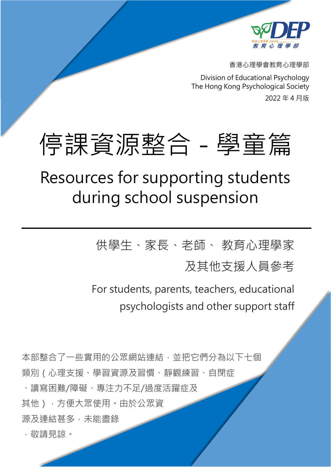

香港心理學會教育心理學部

Division of Educational Psychology The Hong Kong Psychological Society 2022 年 4 月版

# 停課資源整合 - 學童篇

## Resources for supporting students during school suspension

供學生、家長、老師、 教育心理學家

及其他支援人員參考

For students, parents, teachers, educational psychologists and other support staff

本部整合了一些實用的公眾網站連結,並把它們分為以下七個 類別(心理支援、學習資源及習慣、靜觀練習、自閉症 、讀寫困難/障礙、專注力不足/過度活躍症及 其他),方便大眾使用。由於公眾資 源及連結甚多,未能盡錄

,敬請見諒。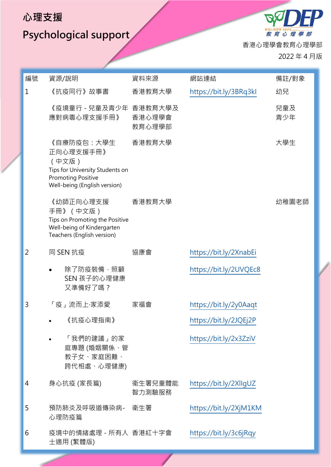## **Psychological support**

教育心理學部 香港心理學會教育心理學部

 $\mathscr{B}$ 

2022 年 4 月版

| 編號           | 資源/說明                                                                                                                            | 資料來源              | 網站連結                   | 備註/對象      |
|--------------|----------------------------------------------------------------------------------------------------------------------------------|-------------------|------------------------|------------|
| $\mathbf{1}$ | 《抗疫同行》故事書                                                                                                                        | 香港教育大學            | https://bit.ly/3BRq3kl | 幼兒         |
|              | 《疫境童行 - 兒童及青少年 香港教育大學及<br>應對病毒心理支援手冊》                                                                                            | 香港心理學會<br>教育心理學部  |                        | 兒童及<br>青少年 |
|              | 《自療防疫包:大學生<br>正向心理支援手冊》<br>(中文版)<br>Tips for University Students on<br><b>Promoting Positive</b><br>Well-being (English version) | 香港教育大學            |                        | 大學生        |
|              | 《幼師正向心理支援<br>手冊》(中文版)<br>Tips on Promoting the Positive<br>Well-being of Kindergarten<br>Teachers (English version)              | 香港教育大學            |                        | 幼稚園老師      |
| 2            | 同 SEN 抗疫                                                                                                                         | 協康會               | https://bit.ly/2XnabEi |            |
|              | 除了防疫裝備,照顧<br>SEN 孩子的心理健康<br>又準備好了嗎?                                                                                              |                   | https://bit.ly/2UVQEc8 |            |
| 3            | 「疫」流而上·家添愛                                                                                                                       | 家福會               | https://bit.ly/2y0Aaqt |            |
|              | 《抗疫心理指南》                                                                                                                         |                   | https://bit.ly/2JQEj2P |            |
|              | 「我們的建議」的家<br>庭專題 (婚姻關係、管<br>教子女、家庭困難、<br>跨代相處、心理健康)                                                                              |                   | https://bit.ly/2x3ZziV |            |
| 4            | 身心抗疫 (家長篇)                                                                                                                       | 衞生署兒童體能<br>智力測驗服務 | https://bit.ly/2XllgUZ |            |
| 5            | 預防肺炎及呼吸道傳染病-<br>心理防疫篇                                                                                                            | 衛生署               | https://bit.ly/2XjM1KM |            |
| 6            | 疫境中的情緒處理 - 所有人 香港紅十字會<br>士適用 (繁體版)                                                                                               |                   | https://bit.ly/3c6jRqy |            |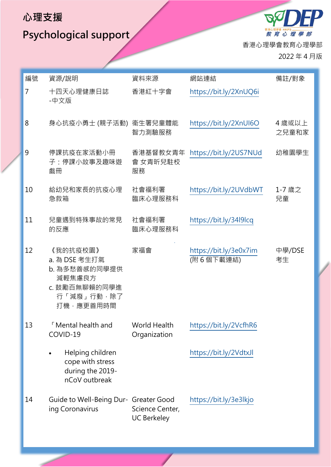**Psychological support** 

香港心理學會教育心理學部 2022 年 4 月版

編號 資源/說明 資料來源 網站連結 備註/對象 7 [十四天心理健康日誌](https://www.redcross.org.hk/sites/redcross/files/media/ccsd_files/HKRC_14-day%20well-being%20kit_fillable%20pdf%20version_CHI_Mar2020_0.pdf) -[中文版](https://www.redcross.org.hk/sites/redcross/files/media/ccsd_files/HKRC_14-day%20well-being%20kit_fillable%20pdf%20version_CHI_Mar2020_0.pdf) 香港紅十字會 <https://bit.ly/2XnUQ6i> 8 身心抗疫小勇士 (親子活動) 衞生署兒童體能 智力測驗服務 <https://bit.ly/2XnUI6O> 4 歲或以上 之兒童和家 9 停課抗疫在家活動小冊 子:停課小故事及趣味遊 戲冊 香港基督教女青年 會 女青昕兒駐校 服務 <https://bit.ly/2US7NUd> 幼稚園學生 10 給幼兒和家長的抗疫心理 急救箱 社會福利署 臨床心理服務科 <https://bit.ly/2UVdbWT> 1-7 歲之 兒童 11 兒童遇到特殊事故的常見 的反應 社會福利署 臨床心理服務科 <https://bit.ly/34l9lcq> 12 《我的抗疫校園》 a. 為 DSE 考生打氣 b. 為多愁善感的同學提供 減輕焦慮良方 c. 鼓勵百無聊賴的同學進 行「減廢」行動,除了 打機,應更善用時間 家福會 <https://bit.ly/3e0x7im> (附 6 個下載連結) 中學/DSE 考生 13 「Mental health and COVID-19 World Health **Organization** <https://bit.ly/2VcfhR6> • Helping children cope with stress during the 2019 nCoV outbreak <https://bit.ly/2VdtxJl> 14 Guide to Well-Being Dur-Greater Good ing Coronavirus Science Center, UC Berkeley <https://bit.ly/3e3lkjo>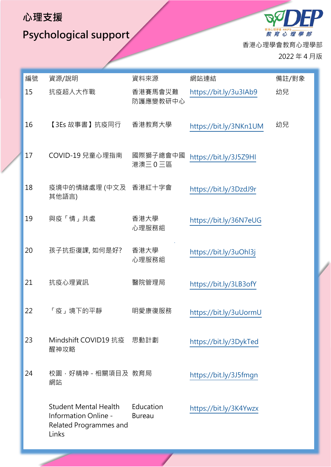**Psychological support** 

 $\mathscr{B}_\lambda$ 教育心理學部 香港心理學會教育心理學部 2022 年 4 月版

| 編號 | 資源/說明                                                                            | 資料來源                       | 網站連結                   | 備註/對象 |
|----|----------------------------------------------------------------------------------|----------------------------|------------------------|-------|
| 15 | 抗疫超人大作戰                                                                          | 香港賽馬會災難<br>防護應變教研中心        | https://bit.ly/3u3IAb9 | 幼兒    |
| 16 | 【3Es 故事書】抗疫同行                                                                    | 香港教育大學                     | https://bit.ly/3NKn1UM | 幼兒    |
| 17 | COVID-19 兒童心理指南                                                                  | 國際獅子總會中國<br>港澳三0三區         | https://bit.ly/3J5Z9HI |       |
| 18 | 疫境中的情緒處理 (中文及 香港紅十字會<br>其他語言)                                                    |                            | https://bit.ly/3DzdJ9r |       |
| 19 | 與疫「情」共處                                                                          | 香港大學<br>心理服務組              | https://bit.ly/36N7eUG |       |
| 20 | 孩子抗拒復課,如何是好?                                                                     | 香港大學<br>心理服務組              | https://bit.ly/3uOhl3j |       |
| 21 | 抗疫心理資訊                                                                           | 醫院管理局                      | https://bit.ly/3LB3ofY |       |
| 22 | 「疫」境下的平靜                                                                         | 明愛康復服務                     | https://bit.ly/3uUormU |       |
| 23 | Mindshift COVID19 抗疫 思動計劃<br>醒神攻略                                                |                            | https://bit.ly/3DykTed |       |
| 24 | 校園 · 好精神 - 相關項目及 教育局<br>網站                                                       |                            | https://bit.ly/3J5fmgn |       |
|    | Student Mental Health<br>Information Online -<br>Related Programmes and<br>Links | Education<br><b>Bureau</b> | https://bit.ly/3K4Ywzx |       |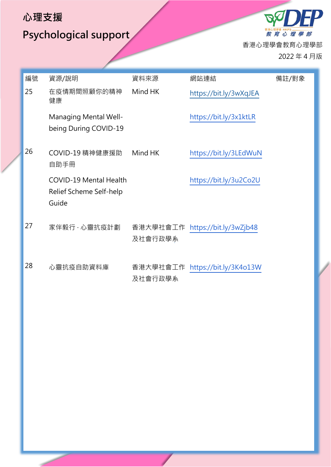## **Psychological support**

 $\boldsymbol{D}$  $B_{\mathcal{S}}$ 教育心理學部 香港心理學會教育心理學部 2022 年 4 月版

| 編號 | 資源/說明                                                             | 資料來源                | 網站連結                            | 備註/對象 |
|----|-------------------------------------------------------------------|---------------------|---------------------------------|-------|
| 25 | 在疫情期間照顧你的精神<br>健康                                                 | Mind HK             | https://bit.ly/3wXqJEA          |       |
|    | Managing Mental Well-<br>being During COVID-19                    |                     | https://bit.ly/3x1ktLR          |       |
| 26 | COVID-19 精神健康援助<br>自助手冊                                           | Mind HK             | https://bit.ly/3LEdWuN          |       |
|    | <b>COVID-19 Mental Health</b><br>Relief Scheme Self-help<br>Guide |                     | https://bit.ly/3u2Co2U          |       |
| 27 | 家伴毅行·心靈抗疫計劃                                                       | 香港大學社會工作<br>及社會行政學系 | https://bit.ly/3wZjb48          |       |
| 28 | 心靈抗疫自助資料庫                                                         |                     | 香港大學社會工作 https://bit.ly/3K4o13W |       |

及社會行政學系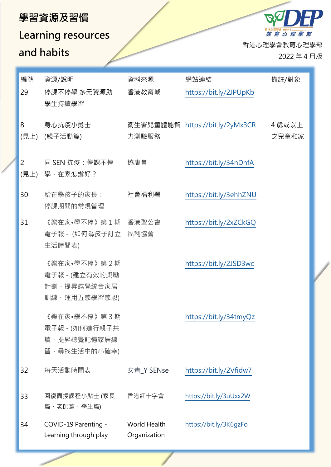#### **學習資源及習慣**

## **Learning resources and habits**

香港心理學會教育心理學部

教育心理學部

 $\beta_{\rm C}$ 

2022 年 4 月版

| 編號<br>29  | 資源/說明<br>停課不停學 多元資源助<br>學生持續學習                                | 資料來源<br>香港教育城                | 網站連結<br>https://bit.ly/2JPUpKb  | 備註/對象           |
|-----------|---------------------------------------------------------------|------------------------------|---------------------------------|-----------------|
| 8<br>(見上) | 身心抗疫小勇士<br>(親子活動篇)                                            | 力測驗服務                        | 衛生署兒童體能智 https://bit.ly/2yMx3CR | 4 歳或以上<br>之兒童和家 |
| 2<br>(見上) | 同 SEN 抗疫:停課不停<br>學,在家怎辦好?                                     | 協康會                          | https://bit.ly/34nDnfA          |                 |
| 30        | 給在學孩子的家長:<br>停課期間的常規管理                                        | 社會福利署                        | https://bit.ly/3ehhZNU          |                 |
| 31        | 《樂在家•學不停》第1期<br>電子報 - (如何為孩子訂立<br>生活時間表)                      | 香港聖公會<br>福利協會                | https://bit.ly/2xZCkGQ          |                 |
|           | 《樂在家•學不停》第2期<br>電子報 - (建立有效的獎勵<br>計劃、提昇感覺統合家居<br>訓練、運用五感學習感恩) |                              | https://bit.ly/2JSD3wc          |                 |
|           | 《樂在家•學不停》第3期<br>電子報 - (如何進行親子共<br>讀、提昇聽覺記憶家居練<br>習、尋找生活中的小確幸) |                              | https://bit.ly/34tmyQz          |                 |
| 32        | 每天活動時間表                                                       | 女青_Y SENse                   | https://bit.ly/2Vfidw7          |                 |
| 33        | 回復面授課程小貼士 (家長<br>篇、老師篇、學生篇)                                   | 香港紅十字會                       | https://bit.ly/3uUxx2W          |                 |
| 34        | COVID-19 Parenting -<br>Learning through play                 | World Health<br>Organization | https://bit.ly/3K6gzFo          |                 |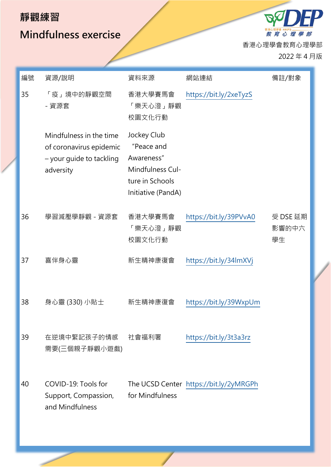#### **靜觀練習**

#### **Mindfulness exercise**

香港心理學會教育心理學部

教育 心 理 學 部

 $\mathscr{B}_{\mathcal{C}}$ 

2022 年 4 月版

 $\boldsymbol{P}$ 

| 編號 | 資源/說明                                                                                       | 資料來源                                                                                                 | 網站連結                                   | 備註/對象                   |
|----|---------------------------------------------------------------------------------------------|------------------------------------------------------------------------------------------------------|----------------------------------------|-------------------------|
| 35 | 「疫」境中的靜觀空間<br>- 資源套                                                                         | 香港大學賽馬會<br>「樂天心澄」靜觀<br>校園文化行動                                                                        | https://bit.ly/2xeTyzS                 |                         |
|    | Mindfulness in the time<br>of coronavirus epidemic<br>- your guide to tackling<br>adversity | Jockey Club<br>"Peace and<br>Awareness"<br>Mindfulness Cul-<br>ture in Schools<br>Initiative (PandA) |                                        |                         |
| 36 | 學習減壓學靜觀 - 資源套                                                                               | 香港大學賽馬會<br>「樂天心澄」靜觀<br>校園文化行動                                                                        | https://bit.ly/39PVvA0                 | 受 DSE 延期<br>影響的中六<br>學生 |
| 37 | 喜伴身心靈                                                                                       | 新生精神康復會                                                                                              | https://bit.ly/34lmXVj                 |                         |
| 38 | 身心靈 (330) 小貼士                                                                               | 新生精神康復會                                                                                              | https://bit.ly/39WxpUm                 |                         |
| 39 | 在逆境中緊記孩子的情感<br>需要(三個親子靜觀小遊戲)                                                                | 社會福利署                                                                                                | https://bit.ly/3t3a3rz                 |                         |
| 40 | COVID-19: Tools for<br>Support, Compassion,<br>and Mindfulness                              | for Mindfulness                                                                                      | The UCSD Center https://bit.ly/2yMRGPh |                         |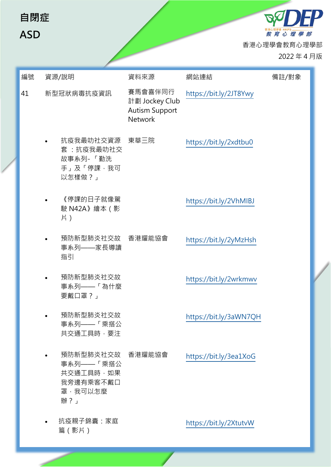| 自閉症<br><b>ASD</b> |                                                                           |                                                                      |                        | 教育心理學部<br>香港心理學會教育心理學部<br>2022年4月版 |  |
|-------------------|---------------------------------------------------------------------------|----------------------------------------------------------------------|------------------------|------------------------------------|--|
| 編號                | 資源/說明                                                                     | 資料來源                                                                 | 網站連結                   | 備註/對象                              |  |
| 41                | 新型冠狀病毒抗疫資訊                                                                | 賽馬會喜伴同行<br>計劃 Jockey Club<br><b>Autism Support</b><br><b>Network</b> | https://bit.ly/2JT8Ywy |                                    |  |
|                   | 抗疫我最叻社交資源<br>套:抗疫我最叻社交<br>故事系列-「勤洗<br>手」及「停課,我可<br>以怎樣做?」                 | 東華三院                                                                 | https://bit.ly/2xdtbu0 |                                    |  |
|                   | 《停課的日子就像駕<br>駛 N42A》 繪本 (影<br>片)                                          |                                                                      | https://bit.ly/2VhMIBJ |                                    |  |
|                   | 預防新型肺炎社交故 香港耀能協會<br>事系列——家長導讀<br>指引                                       |                                                                      | https://bit.ly/2yMzHsh |                                    |  |
|                   | 預防新型肺炎社交故<br>事系列——「為什麼<br>要戴口罩?」                                          |                                                                      | https://bit.ly/2wrkmwv |                                    |  |
|                   | 預防新型肺炎社交故<br>事系列——「乘搭公<br>共交通工具時,要注                                       |                                                                      | https://bit.ly/3aWN7QH |                                    |  |
|                   | 預防新型肺炎社交故 香港耀能協會<br>事系列——「乘搭公<br>共交通工具時,如果<br>我旁邊有乘客不戴口<br>罩,我可以怎麼<br>辦?」 |                                                                      | https://bit.ly/3ea1XoG |                                    |  |
|                   | 抗疫親子錦囊:家庭<br>篇(影片)                                                        |                                                                      | https://bit.ly/2XtutvW |                                    |  |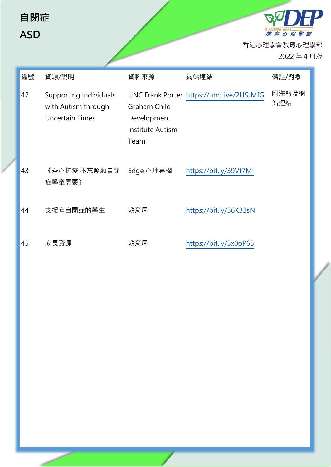| 自閉症<br><b>ASD</b> |                                                                                |                                                                       |                                           | 教育心理學部<br>香港心理學會教育心理學部<br>2022年4月版 |  |
|-------------------|--------------------------------------------------------------------------------|-----------------------------------------------------------------------|-------------------------------------------|------------------------------------|--|
| 編號                | 資源/說明                                                                          | 資料來源                                                                  | 網站連結                                      | 備註/對象                              |  |
| 42                | <b>Supporting Individuals</b><br>with Autism through<br><b>Uncertain Times</b> | <b>Graham Child</b><br>Development<br><b>Institute Autism</b><br>Team | UNC Frank Porter https://unc.live/2USJMfG | 附海報及網<br>站連結                       |  |
| 43                | 《齊心抗疫 不忘照顧自閉<br>症學童需要》                                                         | Edge 心理專欄                                                             | https://bit.ly/39Vt7MI                    |                                    |  |
| 44                | 支援有自閉症的學生                                                                      | 教育局                                                                   | https://bit.ly/36K33sN                    |                                    |  |
| 45                | 家長資源                                                                           | 教育局                                                                   | https://bit.ly/3x0oP65                    |                                    |  |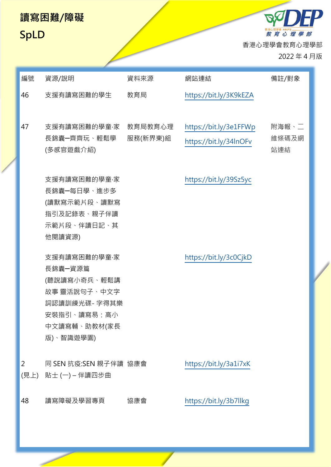#### **讀寫困難/障礙**

### **SpLD**

<sup>##心理學 HKPS</sup> —————<br>*教 育 心 理 學 部* 香港心理學會教育心理學部

DO

2022 年 4 月版

**P** 

| 編號 | 資源/說明                                                                                                                | 資料來源                | 網站連結                                             | 備註/對象                 |
|----|----------------------------------------------------------------------------------------------------------------------|---------------------|--------------------------------------------------|-----------------------|
| 46 | 支援有讀寫困難的學生                                                                                                           | 教育局                 | https://bit.ly/3K9kEZA                           |                       |
| 47 | 支援有讀寫困難的學童·家<br>長錦囊一齊齊玩、輕鬆學<br>(多感官遊戲介紹)                                                                             | 教育局教育心理<br>服務(新界東)組 | https://bit.ly/3e1FFWp<br>https://bit.ly/34InOFv | 附海報、二<br>維條碼及網<br>站連結 |
|    | 支援有讀寫困難的學童·家<br>長錦囊一每日學、進步多<br>(讀默寫示範片段、讀默寫<br>指引及記錄表、親子伴讀<br>示範片段、伴讀日記、其<br>他閱讀資源)                                  |                     | https://bit.ly/39Sz5yc                           |                       |
|    | 支援有讀寫困難的學童·家<br>長錦囊一資源篇<br>(聽說讀寫小奇兵、輕鬆講<br>故事 靈活說句子、中文字<br>詞認讀訓練光碟- 字得其樂<br>安裝指引、讀寫易:高小<br>中文讀寫輔、助教材(家長<br>版)、智識遊學園) |                     | https://bit.ly/3c0CjkD                           |                       |
| 2  | 同 SEN 抗疫:SEN 親子伴讀 協康會<br>(見上) 貼士 (一) – 伴讀四步曲                                                                         |                     | https://bit.ly/3a1i7xK                           |                       |
| 48 | 讀寫障礙及學習專頁                                                                                                            | 協康會                 | https://bit.ly/3b7llkg                           |                       |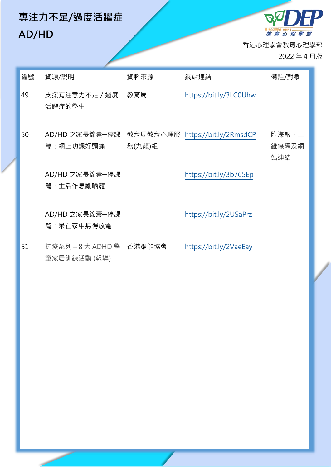## **專注力不足/過度活躍症 AD/HD**

<sup>翻遍雕 HKPS</sup>—————<br>*教 育 心 理 學 部* 香港心理學會教育心理學部

**BA** 

2022 年 4 月版

FP

| 編號 | 資源/說明                                 | 資料來源               | 網站連結                   | 備註/對象                 |
|----|---------------------------------------|--------------------|------------------------|-----------------------|
| 49 | 支援有注意力不足 / 過度<br>活躍症的學生               | 教育局                | https://bit.ly/3LC0Uhw |                       |
| 50 | AD/HD 之家長錦囊一停課<br>篇:網上功課好頭痛           | 教育局教育心理服<br>務(九龍)組 | https://bit.ly/2RmsdCP | 附海報、二<br>維條碼及網<br>站連結 |
|    | AD/HD 之家長錦囊一停課<br>篇:生活作息亂哂籠           |                    | https://bit.ly/3b765Ep |                       |
|    | AD/HD 之家長錦囊一停課<br>篇:呆在家中無得放電          |                    | https://bit.ly/2USaPrz |                       |
| 51 | 抗疫系列-8大 ADHD 學 香港耀能協會<br>童家居訓練活動 (報導) |                    | https://bit.ly/2VaeEay |                       |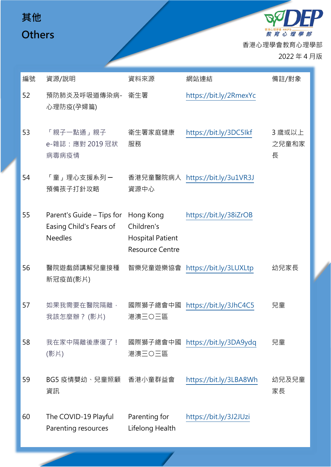## **其他 Others**

<sup>##心理學會 HKPS</sup> —————<br>*教 育 心 理 學 部* 香港心理學會教育心理學部

2022 年 4 月版

*<u><b>PDEP</u>* 

| 編號 | 資源/說明                                                                  | 資料來源                                                                         | 網站連結                            | 備註/對象                |
|----|------------------------------------------------------------------------|------------------------------------------------------------------------------|---------------------------------|----------------------|
| 52 | 預防肺炎及呼吸道傳染病-<br>心理防疫(孕婦篇)                                              | 衛生署                                                                          | https://bit.ly/2RmexYc          |                      |
| 53 | 「親子一點通」親子<br>e-雜誌: 應對 2019 冠狀<br>病毒病疫情                                 | 衛生署家庭健康<br>服務                                                                | https://bit.ly/3DC5Ikf          | 3 歲或以上<br>之兒童和家<br>長 |
| 54 | 「童」理心支援系列 <i>一</i><br>預備孩子打針攻略                                         | 資源中心                                                                         | 香港兒童醫院病人 https://bit.ly/3u1VR3J |                      |
| 55 | Parent's Guide – Tips for<br>Easing Child's Fears of<br><b>Needles</b> | Hong Kong<br>Children's<br><b>Hospital Patient</b><br><b>Resource Centre</b> | https://bit.ly/38iZrOB          |                      |
| 56 | 醫院遊戲師講解兒童接種<br>新冠疫苗(影片)                                                |                                                                              | 智樂兒童遊樂協會 https://bit.ly/3LUXLtp | 幼兒家長                 |
| 57 | 如果我需要在醫院隔離,<br>我該怎麼辦? (影片)                                             | 國際獅子總會中國<br>港澳三〇三區                                                           | https://bit.ly/3JhC4C5          | 兒童                   |
| 58 | 我在家中隔離後康復了!<br>(影片)                                                    | 國際獅子總會中國<br>港澳三〇三區                                                           | https://bit.ly/3DA9ydq          | 兒童                   |
| 59 | BG5 疫情嬰幼、兒童照顧<br>資訊                                                    | 香港小童群益會                                                                      | https://bit.ly/3LBA8Wh          | 幼兒及兒童<br>家長          |
| 60 | The COVID-19 Playful<br>Parenting resources                            | Parenting for<br>Lifelong Health                                             | https://bit.ly/3J2JUzi          |                      |